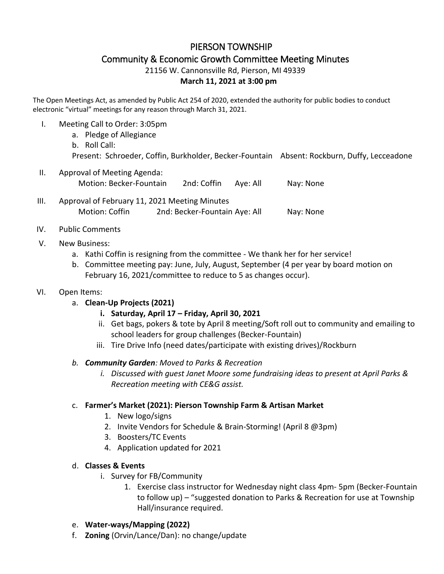# PIERSON TOWNSHIP Community & Economic Growth Committee Meeting Minutes

21156 W. Cannonsville Rd, Pierson, MI 49339

#### **March 11, 2021 at 3:00 pm**

The Open Meetings Act, as amended by Public Act 254 of 2020, extended the authority for public bodies to conduct electronic "virtual" meetings for any reason through March 31, 2021.

- I. Meeting Call to Order: 3:05pm
	- a. Pledge of Allegiance b. Roll Call: Present: Schroeder, Coffin, Burkholder, Becker-Fountain Absent: Rockburn, Duffy, Lecceadone
- II. Approval of Meeting Agenda: Motion: Becker-Fountain 2nd: Coffin Aye: All Nay: None
- III. Approval of February 11, 2021 Meeting Minutes Motion: Coffin 2nd: Becker-Fountain Aye: All Nay: None
- IV. Public Comments

## V. New Business:

- a. Kathi Coffin is resigning from the committee We thank her for her service!
- b. Committee meeting pay: June, July, August, September (4 per year by board motion on February 16, 2021/committee to reduce to 5 as changes occur).

## VI. Open Items:

- a. **Clean-Up Projects (2021)**
	- **i. Saturday, April 17 – Friday, April 30, 2021**
	- ii. Get bags, pokers & tote by April 8 meeting/Soft roll out to community and emailing to school leaders for group challenges (Becker-Fountain)
	- iii. Tire Drive Info (need dates/participate with existing drives)/Rockburn

#### *b. Community Garden: Moved to Parks & Recreation*

*i. Discussed with guest Janet Moore some fundraising ideas to present at April Parks & Recreation meeting with CE&G assist.*

## c. **Farmer's Market (2021): Pierson Township Farm & Artisan Market**

- 1. New logo/signs
- 2. Invite Vendors for Schedule & Brain-Storming! (April 8 @3pm)
- 3. Boosters/TC Events
- 4. Application updated for 2021

## d. **Classes & Events**

- i. Survey for FB/Community
	- 1. Exercise class instructor for Wednesday night class 4pm- 5pm (Becker-Fountain to follow up) – "suggested donation to Parks & Recreation for use at Township Hall/insurance required.
- e. **Water-ways/Mapping (2022)**
- f. **Zoning** (Orvin/Lance/Dan): no change/update